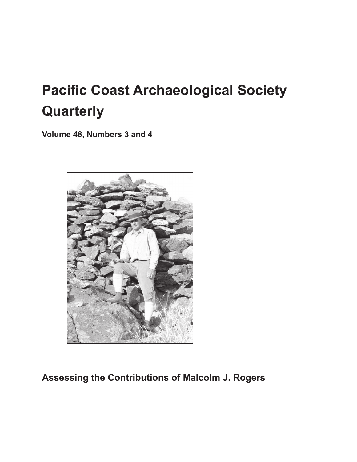# **Pacific Coast Archaeological Society Quarterly**

**Volume 48, Numbers 3 and 4**



**Assessing the Contributions of Malcolm J. Rogers**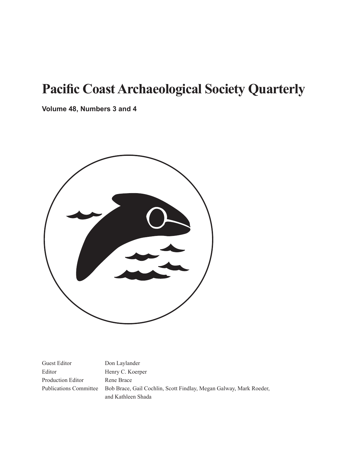# **Pacific Coast Archaeological Society Quarterly**

**Volume 48, Numbers 3 and 4**



Guest Editor Don Laylander Editor Henry C. Koerper Production Editor Rene Brace

Publications Committee Bob Brace, Gail Cochlin, Scott Findlay, Megan Galway, Mark Roeder, and Kathleen Shada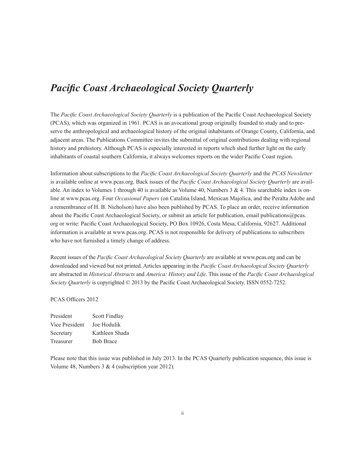### *Pacific Coast Archaeological Society Quarterly*

The *Pacific Coast Archaeological Society Quarterly* is a publication of the Pacific Coast Archaeological Society (PCAS), which was organized in 1961. PCAS is an avocational group originally founded to study and to preserve the anthropological and archaeological history of the original inhabitants of Orange County, California, and adjacent areas. The Publications Committee invites the submittal of original contributions dealing with regional history and prehistory. Although PCAS is especially interested in reports which shed further light on the early inhabitants of coastal southern California, it always welcomes reports on the wider Pacific Coast region.

Information about subscriptions to the *Pacific Coast Archaeological Society Quarterly* and the *PCAS Newsletter* is available online at www.pcas.org. Back issues of the *Pacific Coast Archaeological Society Quarterly* are available. An index to Volumes 1 through 40 is available as Volume 40, Numbers  $3 \& 4$ . This searchable index is online at www.pcas.org. Four *Occasional Papers* (on Catalina Island, Mexican Majolica, and the Peralta Adobe and a remembrance of H. B. Nicholson) have also been published by PCAS. To place an order, receive information about the Pacific Coast Archaeological Society, or submit an article for publication, email publications@pcas. org or write: Pacific Coast Archaeological Society, PO Box 10926, Costa Mesa, California, 92627. Additional information is available at www.pcas.org. PCAS is not responsible for delivery of publications to subscribers who have not furnished a timely change of address.

Recent issues of the *Pacific Coast Archaeological Society Quarterly* are available at www.pcas.org and can be downloaded and viewed but not printed. Articles appearing in the *Pacific Coast Archaeological Society Quarterly*  are abstracted in *Historical Abstracts* and *America: History and Life*. This issue of the *Pacific Coast Archaeological Society Quarterly* is copyrighted © 2013 by the Pacific Coast Archaeological Society. ISSN 0552-7252.

PCAS Officers 2012

President Scott Findlay Vice President Joe Hodulik Secretary Kathleen Shada Treasurer Bob Brace

Please note that this issue was published in July 2013. In the PCAS Quarterly publication sequence, this issue is Volume 48, Numbers 3 & 4 (subscription year 2012).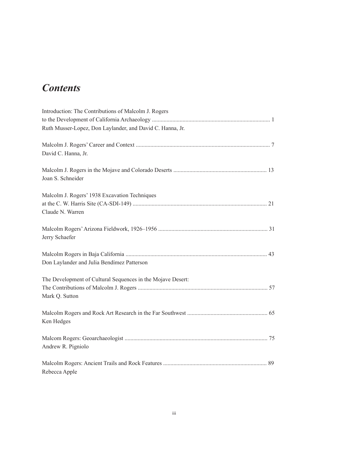## *Contents*

| Ruth Musser-Lopez, Don Laylander, and David C. Hanna, Jr.   |
|-------------------------------------------------------------|
|                                                             |
|                                                             |
| David C. Hanna, Jr.                                         |
|                                                             |
|                                                             |
| Joan S. Schneider                                           |
|                                                             |
| Malcolm J. Rogers' 1938 Excavation Techniques               |
| Claude N. Warren                                            |
|                                                             |
|                                                             |
| Jerry Schaefer                                              |
|                                                             |
|                                                             |
| Don Laylander and Julia Bendímez Patterson                  |
|                                                             |
| The Development of Cultural Sequences in the Mojave Desert: |
|                                                             |
| Mark Q. Sutton                                              |
|                                                             |
|                                                             |
| Ken Hedges                                                  |
|                                                             |
|                                                             |
| Andrew R. Pigniolo                                          |
|                                                             |
|                                                             |
|                                                             |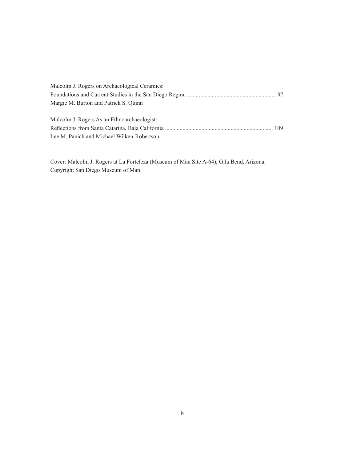| Malcolm J. Rogers on Archaeological Ceramics: |  |
|-----------------------------------------------|--|
|                                               |  |
| Margie M. Burton and Patrick S. Quinn         |  |
|                                               |  |
| Malcolm J. Rogers As an Ethnoarchaeologist:   |  |
|                                               |  |
| Lee M. Panich and Michael Wilken-Robertson    |  |

Cover: Malcolm J. Rogers at La Forteleza (Museum of Man Site A-64), Gila Bend, Arizona. Copyright San Diego Museum of Man.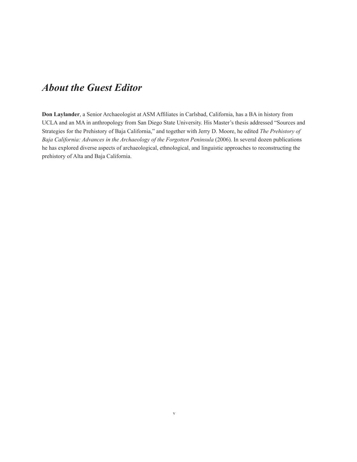#### *About the Guest Editor*

**Don Laylander**, a Senior Archaeologist at ASM Affiliates in Carlsbad, California, has a BA in history from UCLA and an MA in anthropology from San Diego State University. His Master's thesis addressed "Sources and Strategies for the Prehistory of Baja California," and together with Jerry D. Moore, he edited *The Prehistory of Baja California: Advances in the Archaeology of the Forgotten Peninsula* (2006). In several dozen publications he has explored diverse aspects of archaeological, ethnological, and linguistic approaches to reconstructing the prehistory of Alta and Baja California.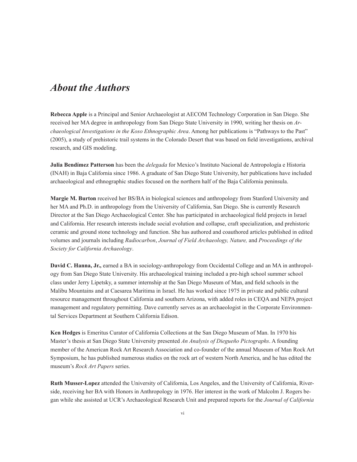#### *About the Authors*

**Rebecca Apple** is a Principal and Senior Archaeologist at AECOM Technology Corporation in San Diego. She received her MA degree in anthropology from San Diego State University in 1990, writing her thesis on *Archaeological Investigations in the Koso Ethnographic Area*. Among her publications is "Pathways to the Past" (2005), a study of prehistoric trail systems in the Colorado Desert that was based on field investigations, archival research, and GIS modeling.

**Julia Bendímez Patterson** has been the *delegada* for Mexico's Instituto Nacional de Antropología e Historia (INAH) in Baja California since 1986. A graduate of San Diego State University, her publications have included archaeological and ethnographic studies focused on the northern half of the Baja California peninsula.

**Margie M. Burton** received her BS/BA in biological sciences and anthropology from Stanford University and her MA and Ph.D. in anthropology from the University of California, San Diego. She is currently Research Director at the San Diego Archaeological Center. She has participated in archaeological field projects in Israel and California. Her research interests include social evolution and collapse, craft specialization, and prehistoric ceramic and ground stone technology and function. She has authored and coauthored articles published in edited volumes and journals including *Radiocarbon*, *Journal of Field Archaeology, Nature,* and *Proceedings of the Society for California Archaeology*.

**David C. Hanna, Jr.,** earned a BA in sociology-anthropology from Occidental College and an MA in anthropology from San Diego State University. His archaeological training included a pre-high school summer school class under Jerry Lipetsky, a summer internship at the San Diego Museum of Man, and field schools in the Malibu Mountains and at Caesarea Maritima in Israel. He has worked since 1975 in private and public cultural resource management throughout California and southern Arizona, with added roles in CEQA and NEPA project management and regulatory permitting. Dave currently serves as an archaeologist in the Corporate Environmental Services Department at Southern California Edison.

**Ken Hedges** is Emeritus Curator of California Collections at the San Diego Museum of Man. In 1970 his Master's thesis at San Diego State University presented *An Analysis of Diegueño Pictographs*. A founding member of the American Rock Art Research Association and co-founder of the annual Museum of Man Rock Art Symposium, he has published numerous studies on the rock art of western North America, and he has edited the museum's *Rock Art Papers* series.

**Ruth Musser-Lopez** attended the University of California, Los Angeles, and the University of California, Riverside, receiving her BA with Honors in Anthropology in 1976. Her interest in the work of Malcolm J. Rogers began while she assisted at UCR's Archaeological Research Unit and prepared reports for the *Journal of California*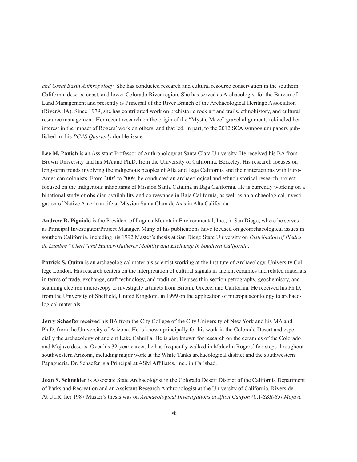*and Great Basin Anthropology*. She has conducted research and cultural resource conservation in the southern California deserts, coast, and lower Colorado River region. She has served as Archaeologist for the Bureau of Land Management and presently is Principal of the River Branch of the Archaeological Heritage Association (RiverAHA). Since 1979, she has contributed work on prehistoric rock art and trails, ethnohistory, and cultural resource management. Her recent research on the origin of the "Mystic Maze" gravel alignments rekindled her interest in the impact of Rogers' work on others, and that led, in part, to the 2012 SCA symposium papers published in this *PCAS Quarterly* double-issue.

**Lee M. Panich** is an Assistant Professor of Anthropology at Santa Clara University. He received his BA from Brown University and his MA and Ph.D. from the University of California, Berkeley. His research focuses on long-term trends involving the indigenous peoples of Alta and Baja California and their interactions with Euro-American colonists. From 2005 to 2009, he conducted an archaeological and ethnohistorical research project focused on the indigenous inhabitants of Mission Santa Catalina in Baja California. He is currently working on a binational study of obsidian availability and conveyance in Baja California, as well as an archaeological investigation of Native American life at Mission Santa Clara de Asís in Alta California.

**Andrew R. Pigniolo** is the President of Laguna Mountain Environmental, Inc., in San Diego, where he serves as Principal Investigator/Project Manager. Many of his publications have focused on geoarchaeological issues in southern California, including his 1992 Master's thesis at San Diego State University on *Distribution of Piedra de Lumbre "Chert"and Hunter-Gatherer Mobility and Exchange in Southern California*.

**Patrick S. Quinn** is an archaeological materials scientist working at the Institute of Archaeology, University College London. His research centers on the interpretation of cultural signals in ancient ceramics and related materials in terms of trade, exchange, craft technology, and tradition. He uses thin-section petrography, geochemistry, and scanning electron microscopy to investigate artifacts from Britain, Greece, and California. He received his Ph.D. from the University of Sheffield, United Kingdom, in 1999 on the application of micropalaeontology to archaeological materials.

**Jerry Schaefer** received his BA from the City College of the City University of New York and his MA and Ph.D. from the University of Arizona. He is known principally for his work in the Colorado Desert and especially the archaeology of ancient Lake Cahuilla. He is also known for research on the ceramics of the Colorado and Mojave deserts. Over his 32-year career, he has frequently walked in Malcolm Rogers' footsteps throughout southwestern Arizona, including major work at the White Tanks archaeological district and the southwestern Papaguería. Dr. Schaefer is a Principal at ASM Affiliates, Inc., in Carlsbad.

**Joan S. Schneider** is Associate State Archaeologist in the Colorado Desert District of the California Department of Parks and Recreation and an Assistant Research Anthropologist at the University of California, Riverside. At UCR, her 1987 Master's thesis was on *Archaeological Investigations at Afton Canyon (CA-SBR-85) Mojave*